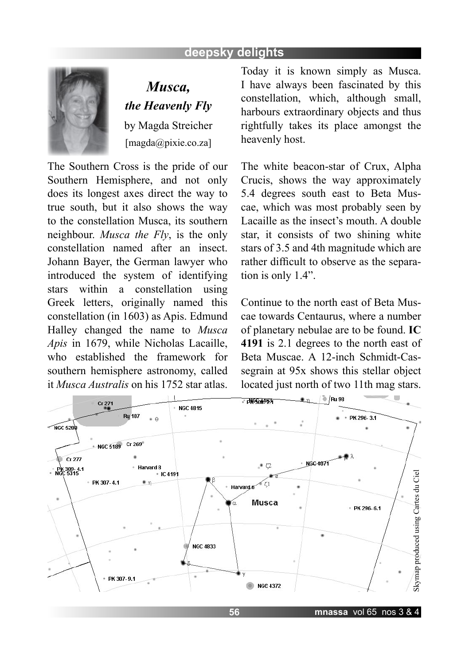## **deepsky delights**



*Musca, the Heavenly Fly* by Magda Streicher [magda@pixie.co.za]

The Southern Cross is the pride of our Southern Hemisphere, and not only does its longest axes direct the way to true south, but it also shows the way to the constellation Musca, its southern neighbour. *Musca the Fly*, is the only constellation named after an insect. Johann Bayer, the German lawyer who introduced the system of identifying stars within a constellation using Greek letters, originally named this constellation (in 1603) as Apis. Edmund Halley changed the name to *Musca Apis* in 1679, while Nicholas Lacaille, who established the framework for southern hemisphere astronomy, called it *Musca Australis* on his 1752 star atlas.

Today it is known simply as Musca. I have always been fascinated by this constellation, which, although small, harbours extraordinary objects and thus rightfully takes its place amongst the heavenly host.

The white beacon-star of Crux, Alpha Crucis, shows the way approximately 5.4 degrees south east to Beta Muscae, which was most probably seen by Lacaille as the insect's mouth. A double star, it consists of two shining white stars of 3.5 and 4th magnitude which are rather difficult to observe as the separation is only 1.4".

Continue to the north east of Beta Muscae towards Centaurus, where a number of planetary nebulae are to be found. **IC 4191** is 2.1 degrees to the north east of Beta Muscae. A 12-inch Schmidt-Cassegrain at 95x shows this stellar object located just north of two 11th mag stars.

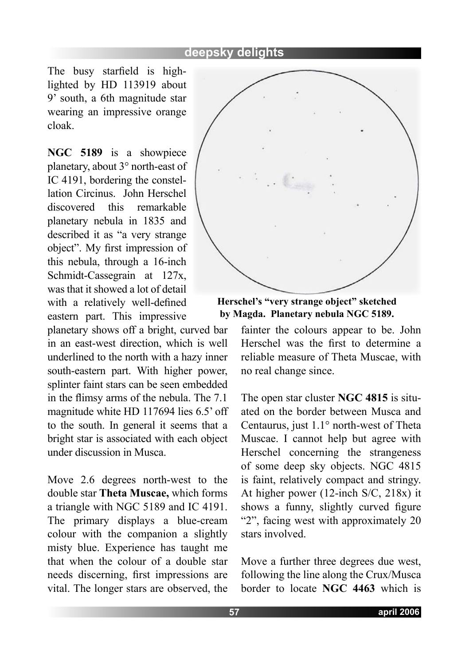The busy starfield is highlighted by HD 113919 about 9' south, a 6th magnitude star wearing an impressive orange cloak.

**NGC 5189** is a showpiece planetary, about 3° north-east of IC 4191, bordering the constellation Circinus. John Herschel discovered this remarkable planetary nebula in 1835 and described it as "a very strange object". My first impression of this nebula, through a 16-inch Schmidt-Cassegrain at 127x, was that it showed a lot of detail with a relatively well-defined eastern part. This impressive

planetary shows off a bright, curved bar in an east-west direction, which is well underlined to the north with a hazy inner south-eastern part. With higher power, splinter faint stars can be seen embedded in the flimsy arms of the nebula. The 7.1 magnitude white HD 117694 lies 6.5' off to the south. In general it seems that a bright star is associated with each object under discussion in Musca.

Move 2.6 degrees north-west to the double star **Theta Muscae,** which forms a triangle with NGC 5189 and IC 4191. The primary displays a blue-cream colour with the companion a slightly misty blue. Experience has taught me that when the colour of a double star needs discerning, first impressions are vital. The longer stars are observed, the



**Herschel's "very strange object" sketched by Magda. Planetary nebula NGC 5189.**

fainter the colours appear to be. John Herschel was the first to determine a reliable measure of Theta Muscae, with no real change since.

The open star cluster **NGC 4815** is situated on the border between Musca and Centaurus, just 1.1° north-west of Theta Muscae. I cannot help but agree with Herschel concerning the strangeness of some deep sky objects. NGC 4815 is faint, relatively compact and stringy. At higher power (12-inch S/C, 218x) it shows a funny, slightly curved figure "2", facing west with approximately 20 stars involved.

Move a further three degrees due west, following the line along the Crux/Musca border to locate **NGC 4463** which is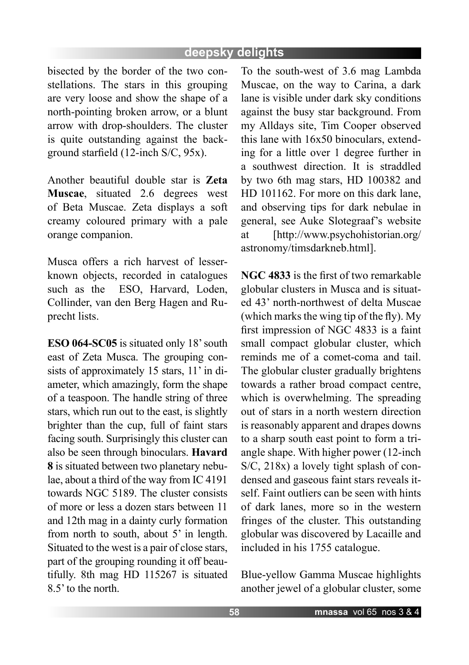## **deepsky delights**

bisected by the border of the two constellations. The stars in this grouping are very loose and show the shape of a north-pointing broken arrow, or a blunt arrow with drop-shoulders. The cluster is quite outstanding against the background starfield (12-inch S/C, 95x).

Another beautiful double star is **Zeta Muscae**, situated 2.6 degrees west of Beta Muscae. Zeta displays a soft creamy coloured primary with a pale orange companion.

Musca offers a rich harvest of lesserknown objects, recorded in catalogues such as the ESO, Harvard, Loden, Collinder, van den Berg Hagen and Ruprecht lists.

**ESO 064-SC05** is situated only 18' south east of Zeta Musca. The grouping consists of approximately 15 stars, 11' in diameter, which amazingly, form the shape of a teaspoon. The handle string of three stars, which run out to the east, is slightly brighter than the cup, full of faint stars facing south. Surprisingly this cluster can also be seen through binoculars. **Havard 8** is situated between two planetary nebulae, about a third of the way from IC 4191 towards NGC 5189. The cluster consists of more or less a dozen stars between 11 and 12th mag in a dainty curly formation from north to south, about 5' in length. Situated to the west is a pair of close stars, part of the grouping rounding it off beautifully. 8th mag HD 115267 is situated 8.5' to the north.

To the south-west of 3.6 mag Lambda Muscae, on the way to Carina, a dark lane is visible under dark sky conditions against the busy star background. From my Alldays site, Tim Cooper observed this lane with 16x50 binoculars, extending for a little over 1 degree further in a southwest direction. It is straddled by two 6th mag stars, HD 100382 and HD 101162. For more on this dark lane, and observing tips for dark nebulae in general, see Auke Slotegraaf's website at [http://www.psychohistorian.org/ astronomy/timsdarkneb.html].

**NGC 4833** is the first of two remarkable globular clusters in Musca and is situated 43' north-northwest of delta Muscae (which marks the wing tip of the fly). My first impression of NGC 4833 is a faint small compact globular cluster, which reminds me of a comet-coma and tail. The globular cluster gradually brightens towards a rather broad compact centre, which is overwhelming. The spreading out of stars in a north western direction is reasonably apparent and drapes downs to a sharp south east point to form a triangle shape. With higher power (12-inch S/C, 218x) a lovely tight splash of condensed and gaseous faint stars reveals itself. Faint outliers can be seen with hints of dark lanes, more so in the western fringes of the cluster. This outstanding globular was discovered by Lacaille and included in his 1755 catalogue.

Blue-yellow Gamma Muscae highlights another jewel of a globular cluster, some